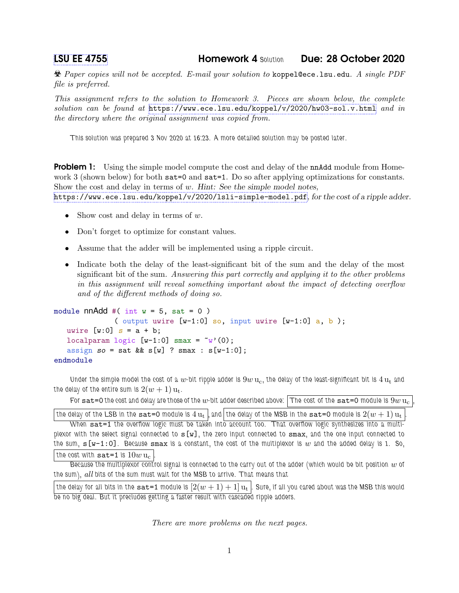[LSU EE 4755](https://www.ece.lsu.edu/koppel/v/) Homework 4 Solution Due: 28 October 2020

 $\&$  Paper copies will not be accepted. E-mail your solution to koppel@ece.lsu.edu. A single PDF file is preferred.

This assignment refers to the solution to Homework 3. Pieces are shown below, the complete solution can be found at <https://www.ece.lsu.edu/koppel/v/2020/hw03-sol.v.html> and in the directory where the original assignment was copied from.

This solution was prepared 3 Nov 2020 at 16:23. A more detailed solution may be posted later.

**Problem 1:** Using the simple model compute the cost and delay of the nnAdd module from Homework 3 (shown below) for both sat=0 and sat=1. Do so after applying optimizations for constants. Show the cost and delay in terms of  $w$ . Hint: See the simple model notes, <https://www.ece.lsu.edu/koppel/v/2020/lsli-simple-model.pdf>, for the cost of a ripple adder.

- Show cost and delay in terms of  $w$ .
- Don't forget to optimize for constant values.
- Assume that the adder will be implemented using a ripple circuit.
- Indicate both the delay of the least-significant bit of the sum and the delay of the most significant bit of the sum. Answering this part correctly and applying it to the other problems in this assignment will reveal something important about the impact of detecting overflow and of the different methods of doing so.

```
module nnAdd #( int w = 5, sat = 0 )
              ( output uwire [v-1:0] so, input uwire [v-1:0] a, b );
   uwire [w:0] s = a + b;
   localparam logic [w-1:0] smax = \tilde{w}'(0);
   assign so = sat && s[w] ? smax : s[w-1:0];
endmodule
```
Under the simple model the cost of a w-bit ripple adder is  $9w$   $u_c$ , the delay of the least-significant bit is  $4 u_t$  and the delay of the entire sum is  $2(w + 1)$  u<sub>t</sub>.

For sat=0 the cost and delay are those of the w-bit adder described above: The cost of the sat=0 module is  $9w$  u<sub>c</sub>

the delay of the LSB in the sat=0 module is  $4\,\rm{u_{t}}$  , and the delay of the MSB in the sat=0 module is  $2(w+1)\,\rm{u_{t}}$ When sat=1 the overflow logic must be taken into account too. That overflow logic synthesizes into a multiplexor with the select signal connected to  $s[w]$ , the zero input connected to smax, and the one input connected to the sum,  $s[w-1:0]$ . Because smax is a constant, the cost of the multiplexor is w and the added delay is 1. So, the cost with sat=1 is  $10w$  u<sub>c</sub>

Because the multiplexor control signal is connected to the carry out of the adder (which would be bit position  $w$  of the sum),  $all$  bits of the sum must wait for the MSB to arrive. That means that

the delay for all bits in the sat=1 module is  $[2(w + 1) + 1]$   $u_t$ . Sure, if all you cared about was the MSB this would be no big deal. But it precludes getting a faster result with cascaded ripple adders.

There are more problems on the next pages.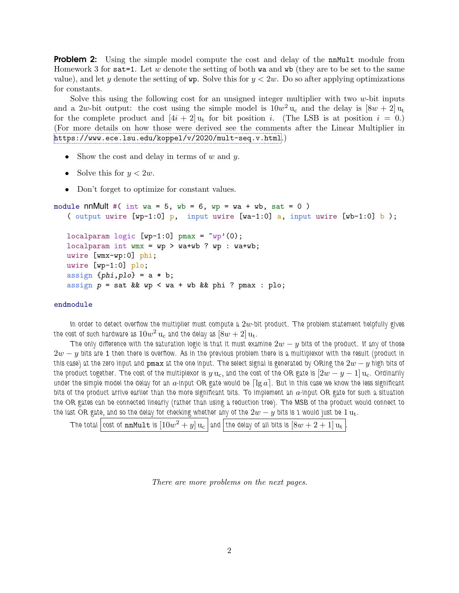**Problem 2:** Using the simple model compute the cost and delay of the **nnMult** module from Homework 3 for sat = 1. Let w denote the setting of both wa and wb (they are to be set to the same value), and let y denote the setting of  $wp$ . Solve this for  $y < 2w$ . Do so after applying optimizations for constants.

Solve this using the following cost for an unsigned integer multiplier with two  $w$ -bit inputs and a 2w-bit output: the cost using the simple model is  $10w^2 u_c$  and the delay is  $[8w + 2] u_t$ for the complete product and  $[4i + 2]u_t$  for bit position i. (The LSB is at position  $i = 0$ .) (For more details on how those were derived see the comments after the Linear Multiplier in <https://www.ece.lsu.edu/koppel/v/2020/mult-seq.v.html>.)

- Show the cost and delay in terms of  $w$  and  $y$ .
- Solve this for  $y < 2w$ .
- Don't forget to optimize for constant values.

```
module nnMult #( int wa = 5, wb = 6, wp = wa + wb, sat = 0)
   ( output uwire [wp-1:0] p, input uwire [wa-1:0] a, input uwire [wb-1:0] b);
```

```
localparam logic [wp-1:0] pmax = \sqrt[m]{(0)};
localparam int wmx = wp > wa+wb ? wp : wa+wb;
uwire [wmx-wp:0] phi;
uwire [wp-1:0] plo;
assign \{phi, plo\} = a * b;assign p = sat && wp < wa + wb && phi ? pmax : plo;
```
## endmodule

In order to detect overflow the multiplier must compute a  $2w$ -bit product. The problem statement helpfully gives the cost of such hardware as  $10w^2 \, \mathrm{u_c}$  and the delay as  $[8w+2] \, \mathrm{u_t}.$ 

The only difference with the saturation logic is that it must examine  $2w - y$  bits of the product. If any of those  $2w - y$  bits are 1 then there is overflow. As in the previous problem there is a multiplexor with the result (product in this case) at the zero input and pmax at the one input. The select signal is generated by ORing the  $2w - y$  high bits of the product together. The cost of the multiplexor is y  $u_c$ , and the cost of the OR gate is  $[2w - y - 1]u_c$ . Ordinarily under the simple model the delay for an  $a$ -input OR gate would be  $\lceil \lg a \rceil$ . But in this case we know the less significant bits of the product arrive earlier than the more significant bits. To implement an  $a$ -input OR gate for such a situation the OR gates can be connected linearly (rather than using a reduction tree). The MSB of the product would connect to the last OR gate, and so the delay for checking whether any of the  $2w - y$  bits is 1 would just be  $1 u_t$ .

```
The total \left|\cos \phi \right| cost of \tt nnMult is \left[10w^2+y\right]u_c\left|\sin \phi \right| the delay of all bits is \left[8w+2+1\right]u_t\left|. \right|
```
There are more problems on the next pages.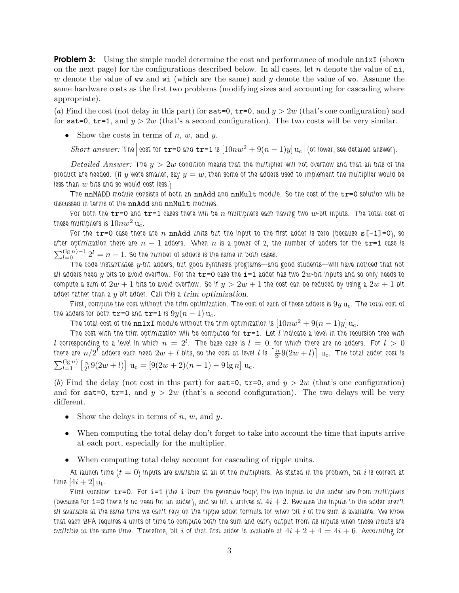**Problem 3:** Using the simple model determine the cost and performance of module nn1xI (shown on the next page) for the configurations described below. In all cases, let  $n$  denote the value of  $ni$ , w denote the value of ww and wi (which are the same) and y denote the value of wo. Assume the same hardware costs as the first two problems (modifying sizes and accounting for cascading where appropriate).

(a) Find the cost (not delay in this part) for  $sat=0$ ,  $tr=0$ , and  $y > 2w$  (that's one configuration) and for sat=0, tr=1, and  $y > 2w$  (that's a second configuration). The two costs will be very similar.

• Show the costs in terms of  $n, w$ , and  $y$ .

Short answer: The cost for  $tr=0$  and  $tr=1$  is  $[10nw^2 + 9(n-1)y]u_c$  (or lower, see detailed answer).

Detailed Answer: The  $y > 2w$  condition means that the multiplier will not overflow and that all bits of the product are needed. (If y were smaller, say  $y = w$ , then some of the adders used to implement the multiplier would be less than  $w$  bits and so would cost less.)

The nnMADD module consists of both an nnAdd and nnMult module. So the cost of the tr=0 solution will be discussed in terms of the nnAdd and nnMult modules.

For both the  $tr=0$  and  $tr=1$  cases there will be n multipliers each having two w-bit inputs. The total cost of these multipliers is  $10nw^2$  u<sub>c</sub>.

For the  $tr=0$  case there are n nnAdd units but the input to the first adder is zero (because  $s[-1]=0$ ), so after optimization there are  $n - 1$  adders. When n is a power of 2, the number of adders for the  $tr=1$  case is  $\sum_{l=0}^{(\lg n)-1} 2^l=n-1.$  So the number of adders is the same in both cases.

The code instantiates  $y$ -bit adders, but good synthesis programs—and good students—will have noticed that not all adders need y bits to avoid overflow. For the  $tr=0$  case the  $i=1$  adder has two  $2w$ -bit inputs and so only needs to compute a sum of  $2w + 1$  bits to avoid overflow. So if  $y > 2w + 1$  the cost can be reduced by using a  $2w + 1$  bit adder rather than a  $y$  bit adder. Call this a  $trim$  optimization.

First, compute the cost without the trim optimization. The cost of each of these adders is  $9y$   $\rm u_c$ . The total cost of the adders for both  $tr=0$  and  $tr=1$  is  $9y(n-1)u_c$ .

The total cost of the nn1xI module without the trim optimization is  $[10nw^2 + 9(n-1)y]u_c$ .

The cost with the trim optimization will be computed for  $tr=1$ . Let  $l$  indicate a level in the recursion tree with  $l$  corresponding to a level in which  $n\,=\,2^l.$  The base case is  $l\,=\,0,$  for which there are no adders. For  $l\,>\,0$ there are  $n/2^{\tilde{l}}$  adders each need  $2w+l$  bits, so the cost at level  $l$  is  $\lceil \frac{n}{2^l} \rceil$  $\left[\frac{n}{2^l}9(2w+l)\right]~\mathrm{u_c}.$  The total adder cost is  $\sum_{l=1}^{(\lg n)} \left[\frac{n}{2^l}\right]$  $\frac{n}{2^l}9(2w+l)\right]$  u<sub>c</sub> =  $[9(2w+2)(n-1)-9 \lg n]$  u<sub>c</sub>.

(b) Find the delay (not cost in this part) for sat=0, tr=0, and  $y > 2w$  (that's one configuration) and for sat=0, tr=1, and  $y > 2w$  (that's a second configuration). The two delays will be very different.

- Show the delays in terms of  $n, w$ , and  $y$ .
- When computing the total delay don't forget to take into account the time that inputs arrive at each port, especially for the multiplier.
- When computing total delay account for cascading of ripple units.

At launch time ( $t = 0$ ) inputs are available at all of the multipliers. As stated in the problem, bit is correct at time  $[4i + 2]$   $u_t$ .

First consider  $tr=0$ . For  $i=1$  (the i from the generate loop) the two inputs to the adder are from multipliers (because for i=0 there is no need for an adder), and so bit  $i$  arrives at  $4i+2$ . Because the inputs to the adder aren't all available at the same time we can't rely on the ripple adder formula for when bit  $i$  of the sum is available. We know that each BFA requires 4 units of time to compute both the sum and carry output from its inputs when those inputs are available at the same time. Therefore, bit i of that first adder is available at  $4i+2+4 = 4i+6$ . Accounting for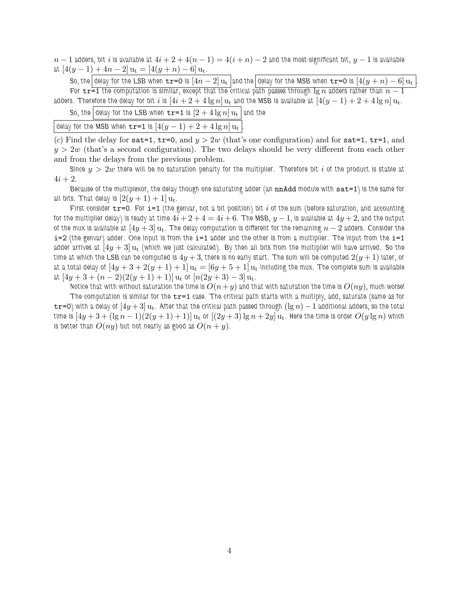$n-1$  adders, bit i is available at  $4i+2+4(n-1) = 4(i+n)-2$  and the most-significant bit,  $y-1$  is available at  $[4(y-1)+4n-2]$  u<sub>t</sub> =  $[4(y+n)-6]$  u<sub>t</sub>.

So, the delay for the LSB when  $\texttt{tr}=0$  is  $[4n-2] \, \mathrm{u}_\texttt{t}$  and the delay for the MSB when  $\texttt{tr}=0$  is  $[4(y+n)-6] \, \mathrm{u}_\texttt{t}$ For  $tr=1$  the computation is similar, except that the critical path passes through  $\lg n$  adders rather than  $n-1$ 

adders. Therefore the delay for bit i is  $[4i + 2 + 4\lg n]u_t$  and the MSB is available at  $[4(y - 1) + 2 + 4\lg n]u_t$ .

So, the delay for the LSB when  $tr=1$  is  $[2 + 4 \lg n]$   $u_t$  and the

delay for the MSB when  $\texttt{tr=1}$  is  $[4(y - 1) + 2 + 4 \lg n]$   $\textup{u}_\textup{t}$ 

(c) Find the delay for sat = 1, tr=0, and  $y > 2w$  (that's one configuration) and for sat = 1, tr=1, and  $y > 2w$  (that's a second configuration). The two delays should be very different from each other and from the delays from the previous problem.

Since  $y > 2w$  there will be no saturation penalty for the multiplier. Therefore bit i of the product is stable at  $4i + 2$ .

Because of the multiplexor, the delay though one saturating adder (an  $nnAdd$  module with  $sat=1$ ) is the same for all bits. That delay is  $[2(y+1)+1]u_t$ .

First consider  $tr=0$ . For  $i=1$  (the genvar, not a bit position) bit i of the sum (before saturation, and accounting for the multiplier delay) is ready at time  $4i+2+4=4i+6$ . The MSB,  $y-1$ , is available at  $4y+2$ , and the output of the mux is available at  $[4y + 3]$  u<sub>t</sub>. The delay computation is different for the remaining  $n - 2$  adders. Consider the  $i=2$  (the genvar) adder. One input is from the  $i=1$  adder and the other is from a multiplier. The input from the  $i=1$ adder arrives at  $[4y+3] \, {\rm u}_\text{t}$  (which we just calculated). By then all bits from the multiplier will have arrived. So the time at which the LSB can be computed is  $4y + 3$ , there is no early start. The sum will be computed  $2(y + 1)$  later, or at a total delay of  $[4y+3+2(y+1)+1]u_t=[6y+5+1]u_t$  including the mux. The complete sum is available at  $[4y+3+(n-2)(2(y+1)+1)]$  u<sub>t</sub> or  $[n(2y+3)-3]$  u<sub>t</sub>.

Notice that with without saturation the time is  $O(n+y)$  and that with saturation the time is  $O(ny)$ , much worse! The computation is similar for the  $tr=1$  case. The critical path starts with a multiply, add, saturate (same as for  $t$ r=0) with a delay of  $[4y+3]u_t$ . After that the critical path passed through  $(\lg n)-1$  additional adders, so the total time is  $[4y+3+(lg n-1)(2(y+1)+1)]$  u<sub>t</sub> or  $[(2y+3)lg n+2y]$  u<sub>t</sub>. Here the time is order  $O(y\lg n)$  which is better than  $O(ny)$  but not nearly as good as  $O(n+y)$ .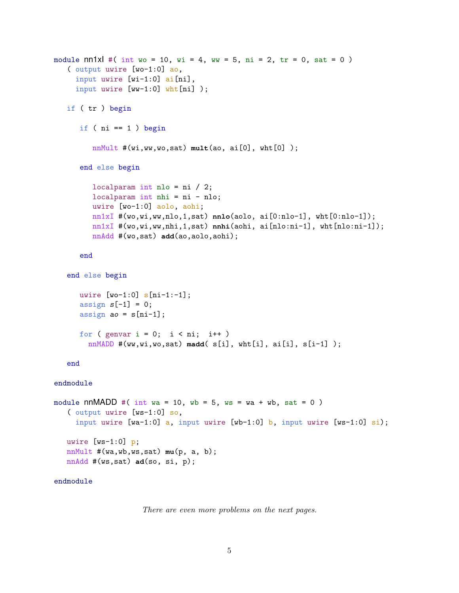```
module nn1xI #( int wo = 10, wi = 4, ww = 5, ni = 2, tr = 0, sat = 0)
   ( output uwire [wo-1:0] ao,
     input uwire [wi-1:0] ai[ni],
     input uwire [ww-1:0] wht[ni]);
   if ( tr ) begin
      if ( ni == 1 ) begin
         nnMult #(wi,ww,wo,sat) mult(ao, ai[0], wht[0] );
      end else begin
         localparam int nlo = ni / 2;
         localparam int nhi = ni - nlo;
         uwire [wo-1:0] aolo, aohi;
         nn1xI #(wo,wi,ww,nlo,1,sat) nnlo(aolo, ai[0:nlo-1], wht[0:nlo-1]);
         nn1xI #(wo,wi,ww,nhi,1,sat) nnhi(aohi, ai[nlo:ni-1], wht[nlo:ni-1]);
         nnAdd #(wo,sat) add(ao,aolo,aohi);
      end
   end else begin
      uwire [wo-1:0] s[ni-1:-1];
      assign s[-1] = 0;assign ao = s[ni-1];
      for ( genvar i = 0; i < ni; i++)nnMADD #(ww,wi,wo,sat) madd( s[i], wht[i], ai[i], s[i-1] );
   end
endmodule
module nnMADD #( int wa = 10, wb = 5, ws = wa + wb, sat = 0)
   ( output uwire [ws-1:0] so,
     input uwire [wa-1:0] a, input uwire [wb-1:0] b, input uwire [ws-1:0] si);
   uwire [ws-1:0] p;
   nnMult #(wa,wb,ws,sat) mu(p, a, b);
   nnAdd #(ws,sat) ad(so, si, p);
```
## endmodule

There are even more problems on the next pages.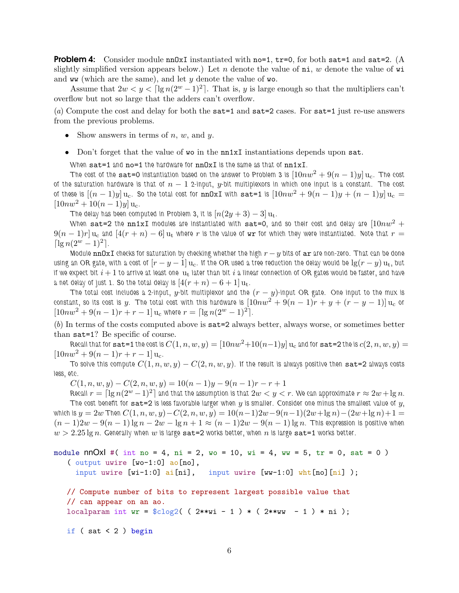**Problem 4:** Consider module  $nnDxI$  instantiated with  $no=1$ ,  $tr=0$ , for both sat=1 and sat=2. (A slightly simplified version appears below.) Let n denote the value of  $n$  i, w denote the value of  $\nu$  i and  $ww$  (which are the same), and let  $y$  denote the value of  $wo$ .

Assume that  $2w < y < \lceil \lg n(2^w - 1)^2 \rceil$ . That is, y is large enough so that the multipliers can't overflow but not so large that the adders can't overflow.

(a) Compute the cost and delay for both the sat=1 and sat=2 cases. For sat=1 just re-use answers from the previous problems.

- Show answers in terms of  $n, w$ , and  $y$ .
- Don't forget that the value of wo in the nn1xI instantiations depends upon sat.

When sat=1 and no=1 the hardware for nnOxI is the same as that of nn1xI.

The cost of the sat=0 instantiation based on the answer to Problem 3 is  $[10nw^2 + 9(n - 1)y]u_c$ . The cost of the saturation hardware is that of  $n - 1$  2-input, y-bit multiplexors in which one input is a constant. The cost of these is  $[(n-1)y]$  u<sub>c</sub>. So the total cost for nnOxI with sat=1 is  $[10nw^2 + 9(n-1)y + (n-1)y]$  u<sub>c</sub> =  $[10nw^2 + 10(n - 1)y]u_c$ .

The delay has been computed in Problem 3, it is  $[n(2y+3)-3]u_t$ .

When sat=2 the nn1xI modules are instantiated with sat=0, and so their cost and delay are  $[10nw^2 +$  $9(n-1)r$  u<sub>c</sub> and  $[4(r+n)-6]$  u<sub>t</sub> where r is the value of wr for which they were instantiated. Note that  $r=$  $\lceil \lg n (2^w - 1)^2 \rceil$ .

Module nnOxI checks for saturation by checking whether the high  $r - y$  bits of ar are non-zero. That can be done using an OR gate, with a cost of  $[r-y-1]u_c$ . If the OR used a tree reduction the delay would be  $\lg(r-y)u_t$ , but if we expect bit  $i+1$  to arrive at least one  $u_t$  later than bit i a linear connection of OR gates would be faster, and have a net delay of just 1. So the total delay is  $[4(r+n)-6+1]u_t$ .

The total cost includes a 2-input, y-bit multiplexor and the  $(r - y)$ -input OR gate. One input to the mux is constant, so its cost is y. The total cost with this hardware is  $[10nw^2 + 9(n - 1)r + y + (r - y - 1)]u_c$  or  $[10nw^2 + 9(n-1)r + r - 1]$  u<sub>c</sub> where  $r = \lceil \lg n(2^w - 1)^2 \rceil$ .

(b) In terms of the costs computed above is sat=2 always better, always worse, or sometimes better than sat=1? Be specific of course.

Recall that for sat=1 the cost is  $C(1, n, w, y) = [10nw^2+10(n-1)y]u_c$  and for sat=2 the is  $c(2, n, w, y) =$  $[10nw^2 + 9(n - 1)r + r - 1]u_c$ .

To solve this compute  $C(1, n, w, y) - C(2, n, w, y)$ . If the result is always positive then sat=2 always costs less, etc.

 $C(1, n, w, y) - C(2, n, w, y) = 10(n - 1)y - 9(n - 1)r - r + 1$ 

Recall  $r=\lceil\lg n(2^w-1)^2\rceil$  and that the assumption is that  $2w < y < r.$  We can approximate  $r\approx 2w+\lg n.$ The cost benefit for sat=2 is less favorable larger when  $y$  is smaller. Consider one minus the smallest value of  $y$ , which is  $y = 2w$  Then  $C(1, n, w, y) - C(2, n, w, y) = 10(n-1)2w - 9(n-1)(2w + \lg n) - (2w + \lg n) + 1 =$  $(n-1)2w - 9(n-1)$  lg  $n-2w -$  lg  $n+1 \approx (n-1)2w - 9(n-1)$  lg n. This expression is positive when  $w > 2.25 \lg n$ . Generally when w is large sat=2 works better, when n is large sat=1 works better.

```
module nnOxI + (int no = 4, ni = 2, wo = 10, wi = 4, ww = 5, tr = 0, sat = 0)( output uwire [wo-1:0] ao[no],
     input uwire [\text{wi-1:0}] ai[\text{ni}], input uwire [\text{ww-1:0}] wht[\text{no}][\text{ni}]);
   // Compute number of bits to represent largest possible value that
   // can appear on an ao.
   localparam int wr = $c \log 2( ( 2**wi - 1 ) * ( 2**ww - 1 ) * ni );
   if (sat < 2) begin
```